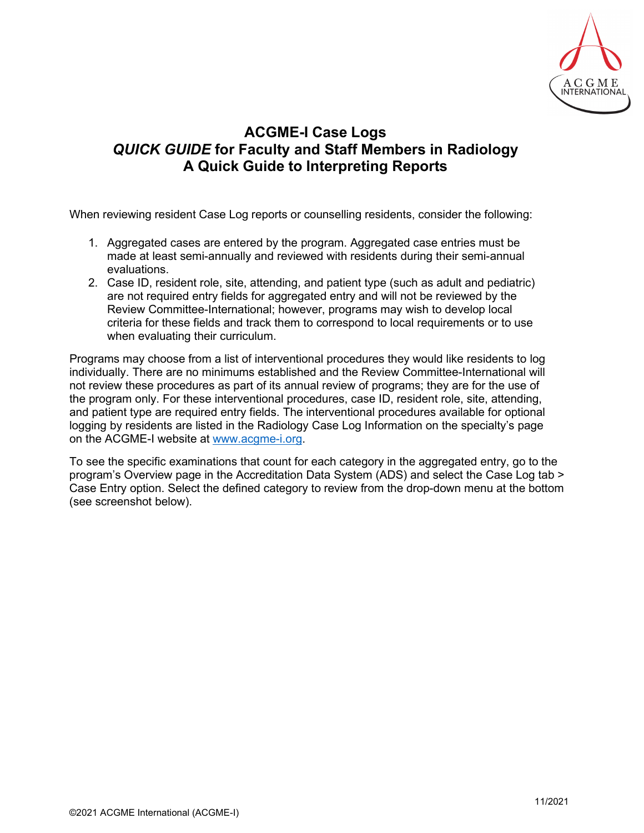

## **ACGME-I Case Logs** *QUICK GUIDE* **for Faculty and Staff Members in Radiology A Quick Guide to Interpreting Reports**

When reviewing resident Case Log reports or counselling residents, consider the following:

- 1. Aggregated cases are entered by the program. Aggregated case entries must be made at least semi-annually and reviewed with residents during their semi-annual evaluations.
- 2. Case ID, resident role, site, attending, and patient type (such as adult and pediatric) are not required entry fields for aggregated entry and will not be reviewed by the Review Committee-International; however, programs may wish to develop local criteria for these fields and track them to correspond to local requirements or to use when evaluating their curriculum.

Programs may choose from a list of interventional procedures they would like residents to log individually. There are no minimums established and the Review Committee-International will not review these procedures as part of its annual review of programs; they are for the use of the program only. For these interventional procedures, case ID, resident role, site, attending, and patient type are required entry fields. The interventional procedures available for optional logging by residents are listed in the Radiology Case Log Information on the specialty's page on the ACGME-I website at [www.acgme-i.org.](http://www.acgme-i.org/)

To see the specific examinations that count for each category in the aggregated entry, go to the program's Overview page in the Accreditation Data System (ADS) and select the Case Log tab > Case Entry option. Select the defined category to review from the drop-down menu at the bottom (see screenshot below).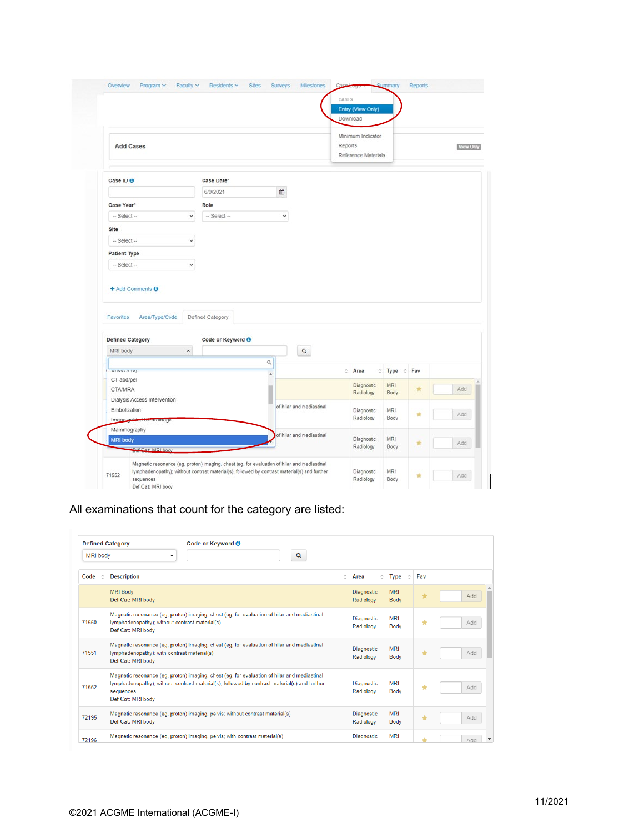|                                                         |                     |                   |        |                          |         | Minimum Indicator       |                   |     |  |
|---------------------------------------------------------|---------------------|-------------------|--------|--------------------------|---------|-------------------------|-------------------|-----|--|
| <b>Add Cases</b>                                        |                     |                   |        |                          | Reports | Reference Materials     |                   |     |  |
| Case ID O                                               |                     | Case Date*        |        |                          |         |                         |                   |     |  |
|                                                         |                     | 6/9/2021          | 篇      |                          |         |                         |                   |     |  |
| Case Year <sup>®</sup>                                  |                     | Role              |        |                          |         |                         |                   |     |  |
| -- Select --                                            | v                   | $-$ Select $-$    | v      |                          |         |                         |                   |     |  |
| Site                                                    |                     |                   |        |                          |         |                         |                   |     |  |
| $-$ Select $-$                                          | $\checkmark$        |                   |        |                          |         |                         |                   |     |  |
|                                                         |                     |                   |        |                          |         |                         |                   |     |  |
|                                                         |                     |                   |        |                          |         |                         |                   |     |  |
| <b>Patient Type</b><br>-- Select --<br>+ Add Comments O | v                   |                   |        |                          |         |                         |                   |     |  |
| Area/Type/Code<br><b>Favorites</b>                      |                     | Defined Category  |        |                          |         |                         |                   |     |  |
| <b>Defined Category</b>                                 |                     | Code or Keyword O |        |                          |         |                         |                   |     |  |
| MRI body                                                | $\hat{\phantom{a}}$ |                   |        | $\hbox{\tt Q}$           |         |                         |                   |     |  |
| wines in my                                             |                     |                   | ۹<br>٠ |                          | õ.      | Area                    | 이<br>Type<br>∴¢ ¦ | Fav |  |
| CT abd/pel<br><b>CTA/MRA</b>                            |                     |                   |        |                          |         | Diagnostic              | MRI               | ÷   |  |
| Dialysis Access Intervention                            |                     |                   |        |                          |         | Radiology               | Body              |     |  |
| Embolization                                            |                     |                   |        | of hilar and mediastinal |         | Diagnostic              | MRI               |     |  |
| Image guided bwurainage                                 |                     |                   |        |                          |         | Radiology               | Body              | ŵ   |  |
| Mammography                                             |                     |                   |        | of hilar and mediastinal |         |                         |                   |     |  |
| <b>MRI body</b><br>Def Cat: MRI body                    |                     |                   |        |                          |         | Diagnostic<br>Radiology | MRI<br>Body       | ÷   |  |

All examinations that count for the category are listed:

|                 | <b>Defined Category</b>                                             | Code or Keyword <sup>O</sup>                                                                                                                                                                |   |                         |                           |         |     |  |
|-----------------|---------------------------------------------------------------------|---------------------------------------------------------------------------------------------------------------------------------------------------------------------------------------------|---|-------------------------|---------------------------|---------|-----|--|
| <b>MRI body</b> | $\checkmark$                                                        | Q                                                                                                                                                                                           |   |                         |                           |         |     |  |
| Code<br>Δ       | <b>Description</b>                                                  |                                                                                                                                                                                             | ் | Ô.<br>Area              | <b>Type</b><br>Ĉ          | Fav     |     |  |
|                 | <b>MRI Body</b><br>Def Cat: MRI body                                |                                                                                                                                                                                             |   | Diagnostic<br>Radiology | <b>MRI</b><br><b>Body</b> |         | Add |  |
| 71550           | lymphadenopathy); without contrast material(s)<br>Def Cat: MRI body | Magnetic resonance (eq, proton) imaging, chest (eq, for evaluation of hilar and mediastinal                                                                                                 |   | Diagnostic<br>Radiology | MRI<br><b>Body</b>        | ٠       | Add |  |
| 71551           | lymphadenopathy); with contrast material(s)<br>Def Cat: MRI body    | Magnetic resonance (eq. proton) imaging, chest (eq. for evaluation of hilar and mediastinal                                                                                                 |   | Diagnostic<br>Radiology | <b>MRI</b><br><b>Body</b> | ★       | Add |  |
| 71552           | sequences<br>Def Cat: MRI body                                      | Magnetic resonance (eq, proton) imaging, chest (eq, for evaluation of hilar and mediastinal<br>lymphadenopathy); without contrast material(s), followed by contrast material(s) and further |   | Diagnostic<br>Radiology | <b>MRI</b><br><b>Body</b> | ★       | Add |  |
| 72195           | Def Cat: MRI body                                                   | Magnetic resonance (eq. proton) imaging, pelvis; without contrast material(s)                                                                                                               |   | Diagnostic<br>Radiology | <b>MRI</b><br><b>Body</b> | $\star$ | Add |  |
| 72196           |                                                                     | Magnetic resonance (eq. proton) imaging, pelvis; with contrast material(s)                                                                                                                  |   | Diagnostic              | <b>MRI</b>                |         | Add |  |